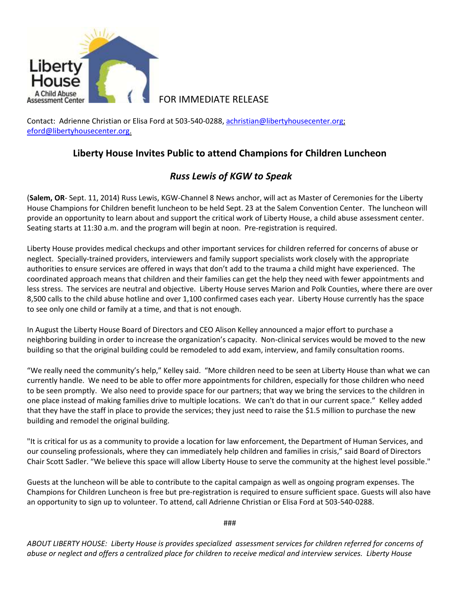

Contact: Adrienne Christian or Elisa Ford at 503-540-0288, [achristian@libertyhousecenter.org;](mailto:achristian@libertyhousecenter.org) [eford@libertyhousecenter.org.](mailto:eford@libertyhousecenter.org)

## **Liberty House Invites Public to attend Champions for Children Luncheon**

## *Russ Lewis of KGW to Speak*

(**Salem, OR**- Sept. 11, 2014) Russ Lewis, KGW-Channel 8 News anchor, will act as Master of Ceremonies for the Liberty House Champions for Children benefit luncheon to be held Sept. 23 at the Salem Convention Center. The luncheon will provide an opportunity to learn about and support the critical work of Liberty House, a child abuse assessment center. Seating starts at 11:30 a.m. and the program will begin at noon. Pre-registration is required.

Liberty House provides medical checkups and other important services for children referred for concerns of abuse or neglect. Specially-trained providers, interviewers and family support specialists work closely with the appropriate authorities to ensure services are offered in ways that don't add to the trauma a child might have experienced. The coordinated approach means that children and their families can get the help they need with fewer appointments and less stress. The services are neutral and objective. Liberty House serves Marion and Polk Counties, where there are over 8,500 calls to the child abuse hotline and over 1,100 confirmed cases each year. Liberty House currently has the space to see only one child or family at a time, and that is not enough.

In August the Liberty House Board of Directors and CEO Alison Kelley announced a major effort to purchase a neighboring building in order to increase the organization's capacity. Non-clinical services would be moved to the new building so that the original building could be remodeled to add exam, interview, and family consultation rooms.

"We really need the community's help," Kelley said. "More children need to be seen at Liberty House than what we can currently handle. We need to be able to offer more appointments for children, especially for those children who need to be seen promptly. We also need to provide space for our partners; that way we bring the services to the children in one place instead of making families drive to multiple locations. We can't do that in our current space." Kelley added that they have the staff in place to provide the services; they just need to raise the \$1.5 million to purchase the new building and remodel the original building.

"It is critical for us as a community to provide a location for law enforcement, the Department of Human Services, and our counseling professionals, where they can immediately help children and families in crisis," said Board of Directors Chair Scott Sadler. "We believe this space will allow Liberty House to serve the community at the highest level possible."

Guests at the luncheon will be able to contribute to the capital campaign as well as ongoing program expenses. The Champions for Children Luncheon is free but pre-registration is required to ensure sufficient space. Guests will also have an opportunity to sign up to volunteer. To attend, call Adrienne Christian or Elisa Ford at 503-540-0288.

###

*ABOUT LIBERTY HOUSE: Liberty House is provides specialized assessment services for children referred for concerns of abuse or neglect and offers a centralized place for children to receive medical and interview services. Liberty House*